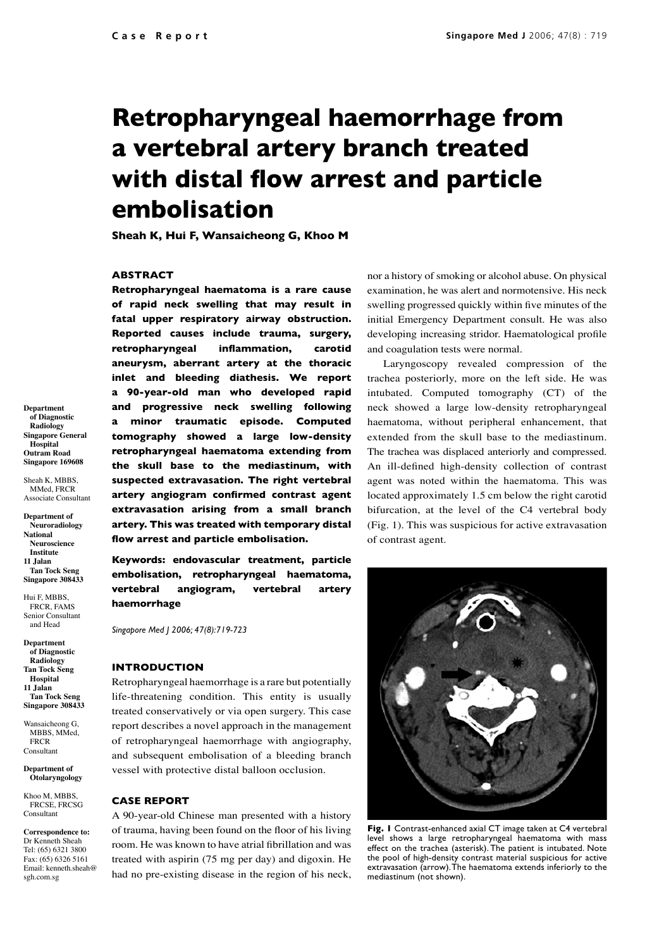# **Retropharyngeal haemorrhage from a vertebral artery branch treated with distal flow arrest and particle embolisation**

**Sheah K, Hui F, Wansaicheong G, Khoo M**

## **ABSTRACT**

**Retropharyngeal haematoma is a rare cause of rapid neck swelling that may result in fatal upper respiratory airway obstruction. Reported causes include trauma, surgery, retropharyngeal inflammation, carotid aneurysm, aberrant artery at the thoracic inlet and bleeding diathesis. We report a 90-year-old man who developed rapid and progressive neck swelling following a minor traumatic episode. Computed tomography showed a large low-density retropharyngeal haematoma extending from the skull base to the mediastinum, with suspected extravasation. The right vertebral artery angiogram confirmed contrast agent extravasation arising from a small branch artery. This was treated with temporary distal flow arrest and particle embolisation.**

**Keywords: endovascular treatment, particle embolisation, retropharyngeal haematoma, vertebral angiogram, vertebral artery haemorrhage**

*Singapore Med J 2006; 47(8):719-723*

#### **INTRODUCTION**

Retropharyngeal haemorrhage is a rare but potentially life-threatening condition. This entity is usually treated conservatively or via open surgery. This case report describes a novel approach in the management of retropharyngeal haemorrhage with angiography, and subsequent embolisation of a bleeding branch vessel with protective distal balloon occlusion.

**CASE REPORT** 

A 90-year-old Chinese man presented with a history of trauma, having been found on the floor of his living room. He was known to have atrial fibrillation and was treated with aspirin (75 mg per day) and digoxin. He had no pre-existing disease in the region of his neck, nor a history of smoking or alcohol abuse. On physical examination, he was alert and normotensive. His neck swelling progressed quickly within five minutes of the initial Emergency Department consult. He was also developing increasing stridor. Haematological profile and coagulation tests were normal.

Laryngoscopy revealed compression of the trachea posteriorly, more on the left side. He was intubated. Computed tomography (CT) of the neck showed a large low-density retropharyngeal haematoma, without peripheral enhancement, that extended from the skull base to the mediastinum. The trachea was displaced anteriorly and compressed. An ill-defined high-density collection of contrast agent was noted within the haematoma. This was located approximately 1.5 cm below the right carotid bifurcation, at the level of the C4 vertebral body (Fig. 1). This was suspicious for active extravasation of contrast agent.



**Fig. 1** Contrast-enhanced axial CT image taken at C4 vertebral level shows a large retropharyngeal haematoma with mass effect on the trachea (asterisk). The patient is intubated. Note the pool of high-density contrast material suspicious for active extravasation (arrow). The haematoma extends inferiorly to the mediastinum (not shown).

**Department of Diagnostic Radiology Singapore General Hospital Outram Road Singapore 169608**

Sheah K, MBBS, MMed, FRCR Associate Consultant

**Department of Neuroradiology National Neuroscience Institute 11 Jalan Tan Tock Seng Singapore 308433**

Hui F, MBBS FRCR, FAMS Senior Consultant and Head

**Department of Diagnostic Radiology Tan Tock Seng Hospital 11 Jalan Tan Tock Seng Singapore 308433**

Wansaicheong G, MBBS, MMed **FRCR** Consultant

**Department of Otolaryngology**

Khoo M, MBBS, FRCSE, FRCSG Consultant

**Correspondence to:** Dr Kenneth Sheah Tel: (65) 6321 3800 Fax: (65) 6326 5161 Email: kenneth.sheah@ sgh.com.sg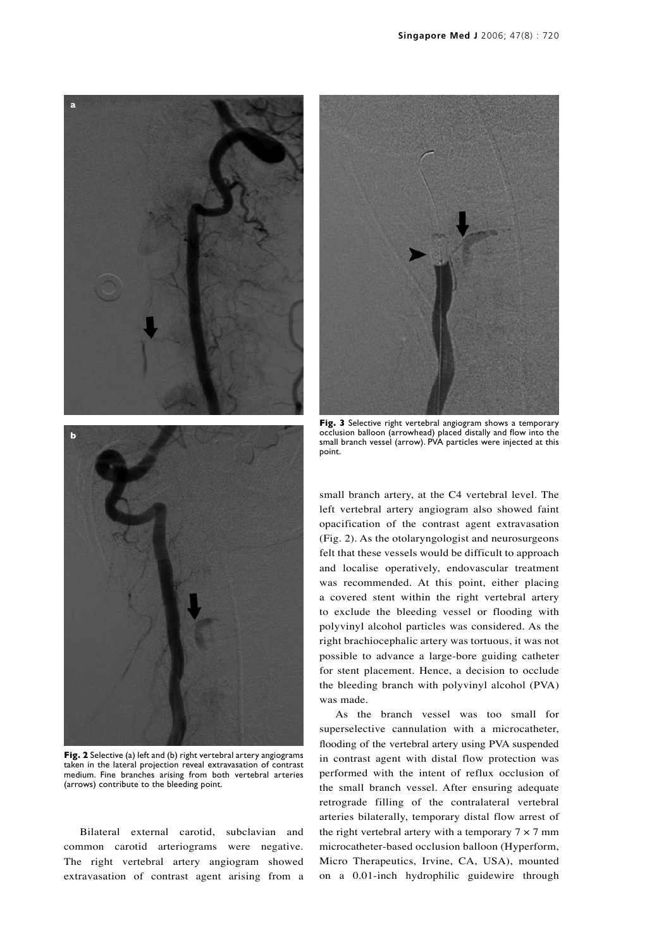



**Fig. 3** Selective right vertebral angiogram shows a temporary occlusion balloon (arrowhead) placed distally and flow into the small branch vessel (arrow). PVA particles were injected at this point.



**Fig. 2** Selective (a) left and (b) right vertebral artery angiograms taken in the lateral projection reveal extravasation of contrast medium. Fine branches arising from both vertebral arteries (arrows) contribute to the bleeding point.

Bilateral external carotid, subclavian and common carotid arteriograms were negative. The right vertebral artery angiogram showed extravasation of contrast agent arising from a small branch artery, at the C4 vertebral level. The left vertebral artery angiogram also showed faint opacification of the contrast agent extravasation (Fig. 2). As the otolaryngologist and neurosurgeons felt that these vessels would be difficult to approach and localise operatively, endovascular treatment was recommended. At this point, either placing a covered stent within the right vertebral artery to exclude the bleeding vessel or flooding with polyvinyl alcohol particles was considered. As the right brachiocephalic artery was tortuous, it was not possible to advance a large-bore guiding catheter for stent placement. Hence, a decision to occlude the bleeding branch with polyvinyl alcohol (PVA) was made.

As the branch vessel was too small for superselective cannulation with a microcatheter, flooding of the vertebral artery using PVA suspended in contrast agent with distal flow protection was performed with the intent of reflux occlusion of the small branch vessel. After ensuring adequate retrograde filling of the contralateral vertebral arteries bilaterally, temporary distal flow arrest of the right vertebral artery with a temporary  $7 \times 7$  mm microcatheter-based occlusion balloon (Hyperform, Micro Therapeutics, Irvine, CA, USA), mounted on a 0.01-inch hydrophilic guidewire through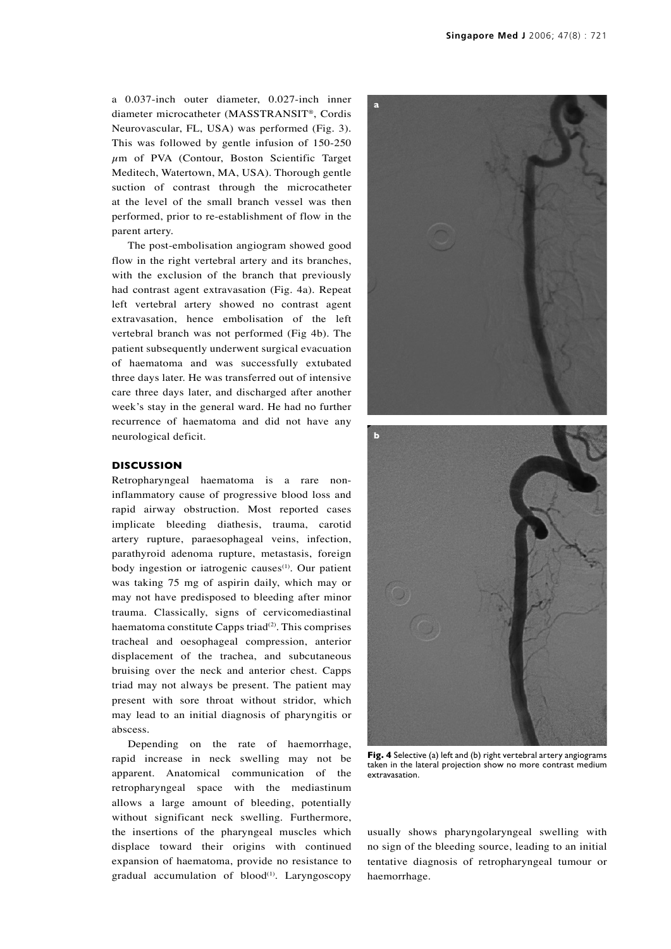a 0.037-inch outer diameter, 0.027-inch inner diameter microcatheter (MASSTRANSIT®, Cordis Neurovascular, FL, USA) was performed (Fig. 3). This was followed by gentle infusion of 150-250  $\mu$ m of PVA (Contour, Boston Scientific Target Meditech, Watertown, MA, USA). Thorough gentle suction of contrast through the microcatheter at the level of the small branch vessel was then performed, prior to re-establishment of flow in the parent artery.

The post-embolisation angiogram showed good flow in the right vertebral artery and its branches, with the exclusion of the branch that previously had contrast agent extravasation (Fig. 4a). Repeat left vertebral artery showed no contrast agent extravasation, hence embolisation of the left vertebral branch was not performed (Fig 4b). The patient subsequently underwent surgical evacuation of haematoma and was successfully extubated three days later. He was transferred out of intensive care three days later, and discharged after another week's stay in the general ward. He had no further recurrence of haematoma and did not have any neurological deficit.

# **DISCUSSION**

Retropharyngeal haematoma is a rare noninflammatory cause of progressive blood loss and rapid airway obstruction. Most reported cases implicate bleeding diathesis, trauma, carotid artery rupture, paraesophageal veins, infection, parathyroid adenoma rupture, metastasis, foreign body ingestion or iatrogenic causes<sup>(1)</sup>. Our patient was taking 75 mg of aspirin daily, which may or may not have predisposed to bleeding after minor trauma. Classically, signs of cervicomediastinal haematoma constitute Capps triad $(2)$ . This comprises tracheal and oesophageal compression, anterior displacement of the trachea, and subcutaneous bruising over the neck and anterior chest. Capps triad may not always be present. The patient may present with sore throat without stridor, which may lead to an initial diagnosis of pharyngitis or abscess.

Depending on the rate of haemorrhage, rapid increase in neck swelling may not be apparent. Anatomical communication of the retropharyngeal space with the mediastinum allows a large amount of bleeding, potentially without significant neck swelling. Furthermore, the insertions of the pharyngeal muscles which displace toward their origins with continued expansion of haematoma, provide no resistance to gradual accumulation of  $blood^{(1)}$ . Laryngoscopy





**Fig. 4** Selective (a) left and (b) right vertebral artery angiograms taken in the lateral projection show no more contrast medium extravasation.

usually shows pharyngolaryngeal swelling with no sign of the bleeding source, leading to an initial tentative diagnosis of retropharyngeal tumour or haemorrhage.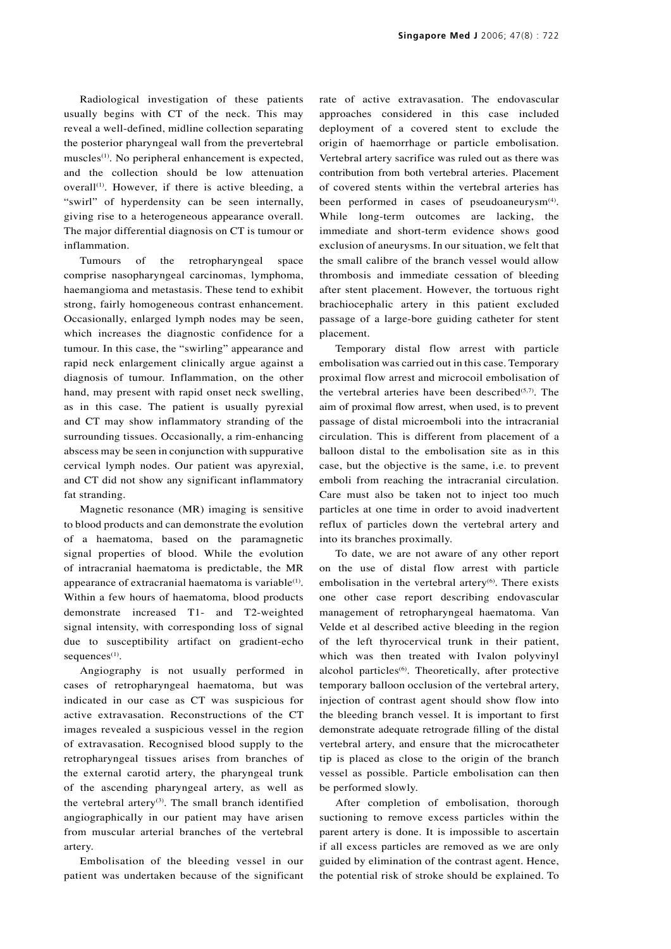Radiological investigation of these patients usually begins with CT of the neck. This may reveal a well-defined, midline collection separating the posterior pharyngeal wall from the prevertebral muscles<sup> $(1)$ </sup>. No peripheral enhancement is expected, and the collection should be low attenuation overall $(1)$ . However, if there is active bleeding, a "swirl" of hyperdensity can be seen internally, giving rise to a heterogeneous appearance overall. The major differential diagnosis on CT is tumour or inflammation.

Tumours of the retropharyngeal space comprise nasopharyngeal carcinomas, lymphoma, haemangioma and metastasis. These tend to exhibit strong, fairly homogeneous contrast enhancement. Occasionally, enlarged lymph nodes may be seen, which increases the diagnostic confidence for a tumour. In this case, the "swirling" appearance and rapid neck enlargement clinically argue against a diagnosis of tumour. Inflammation, on the other hand, may present with rapid onset neck swelling. as in this case. The patient is usually pyrexial and CT may show inflammatory stranding of the surrounding tissues. Occasionally, a rim-enhancing abscess may be seen in conjunction with suppurative cervical lymph nodes. Our patient was apyrexial, and CT did not show any significant inflammatory fat stranding.

Magnetic resonance (MR) imaging is sensitive to blood products and can demonstrate the evolution of a haematoma, based on the paramagnetic signal properties of blood. While the evolution of intracranial haematoma is predictable, the MR appearance of extracranial haematoma is variable<sup>(1)</sup>. Within a few hours of haematoma, blood products demonstrate increased T1- and T2-weighted signal intensity, with corresponding loss of signal due to susceptibility artifact on gradient-echo sequences $<sup>(1)</sup>$ .</sup>

Angiography is not usually performed in cases of retropharyngeal haematoma, but was indicated in our case as CT was suspicious for active extravasation. Reconstructions of the CT images revealed a suspicious vessel in the region of extravasation. Recognised blood supply to the retropharyngeal tissues arises from branches of the external carotid artery, the pharyngeal trunk of the ascending pharyngeal artery, as well as the vertebral artery<sup>(3)</sup>. The small branch identified angiographically in our patient may have arisen from muscular arterial branches of the vertebral artery.

Embolisation of the bleeding vessel in our patient was undertaken because of the significant rate of active extravasation. The endovascular approaches considered in this case included deployment of a covered stent to exclude the origin of haemorrhage or particle embolisation. Vertebral artery sacrifice was ruled out as there was contribution from both vertebral arteries. Placement of covered stents within the vertebral arteries has been performed in cases of pseudoaneurysm $(4)$ . While long-term outcomes are lacking, the immediate and short-term evidence shows good exclusion of aneurysms. In our situation, we felt that the small calibre of the branch vessel would allow thrombosis and immediate cessation of bleeding after stent placement. However, the tortuous right brachiocephalic artery in this patient excluded passage of a large-bore guiding catheter for stent placement.

Temporary distal flow arrest with particle embolisation was carried out in this case. Temporary proximal flow arrest and microcoil embolisation of the vertebral arteries have been described $(5,7)$ . The aim of proximal flow arrest, when used, is to prevent passage of distal microemboli into the intracranial circulation. This is different from placement of a balloon distal to the embolisation site as in this case, but the objective is the same, i.e. to prevent emboli from reaching the intracranial circulation. Care must also be taken not to inject too much particles at one time in order to avoid inadvertent reflux of particles down the vertebral artery and into its branches proximally.

To date, we are not aware of any other report on the use of distal flow arrest with particle embolisation in the vertebral artery<sup>(6)</sup>. There exists one other case report describing endovascular management of retropharyngeal haematoma. Van Velde et al described active bleeding in the region of the left thyrocervical trunk in their patient, which was then treated with Ivalon polyvinyl alcohol particles<sup>(6)</sup>. Theoretically, after protective temporary balloon occlusion of the vertebral artery, injection of contrast agent should show flow into the bleeding branch vessel. It is important to first demonstrate adequate retrograde filling of the distal vertebral artery, and ensure that the microcatheter tip is placed as close to the origin of the branch vessel as possible. Particle embolisation can then be performed slowly.

After completion of embolisation, thorough suctioning to remove excess particles within the parent artery is done. It is impossible to ascertain if all excess particles are removed as we are only guided by elimination of the contrast agent. Hence, the potential risk of stroke should be explained. To